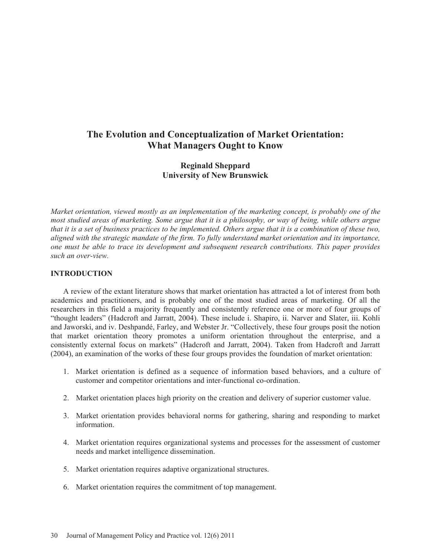## **The Evolution and Conceptualization of Market Orientation: What Managers Ought to Know**

## **Reginald Sheppard University of New Brunswick**

*Market orientation, viewed mostly as an implementation of the marketing concept, is probably one of the most studied areas of marketing. Some argue that it is a philosophy, or way of being, while others argue that it is a set of business practices to be implemented. Others argue that it is a combination of these two, aligned with the strategic mandate of the firm. To fully understand market orientation and its importance, one must be able to trace its development and subsequent research contributions. This paper provides such an over-view.* 

#### **INTRODUCTION**

A review of the extant literature shows that market orientation has attracted a lot of interest from both academics and practitioners, and is probably one of the most studied areas of marketing. Of all the researchers in this field a majority frequently and consistently reference one or more of four groups of "thought leaders" (Hadcroft and Jarratt, 2004). These include i. Shapiro, ii. Narver and Slater, iii. Kohli and Jaworski, and iv. Deshpandé, Farley, and Webster Jr. "Collectively, these four groups posit the notion that market orientation theory promotes a uniform orientation throughout the enterprise, and a consistently external focus on markets" (Hadcroft and Jarratt, 2004). Taken from Hadcroft and Jarratt (2004), an examination of the works of these four groups provides the foundation of market orientation:

- 1. Market orientation is defined as a sequence of information based behaviors, and a culture of customer and competitor orientations and inter-functional co-ordination.
- 2. Market orientation places high priority on the creation and delivery of superior customer value.
- 3. Market orientation provides behavioral norms for gathering, sharing and responding to market information.
- 4. Market orientation requires organizational systems and processes for the assessment of customer needs and market intelligence dissemination.
- 5. Market orientation requires adaptive organizational structures.
- 6. Market orientation requires the commitment of top management.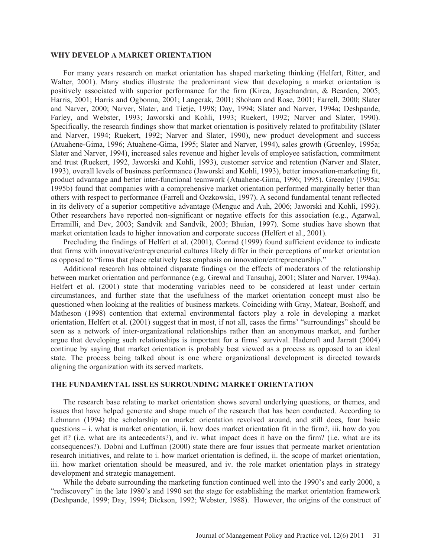#### **WHY DEVELOP A MARKET ORIENTATION**

For many years research on market orientation has shaped marketing thinking (Helfert, Ritter, and Walter, 2001). Many studies illustrate the predominant view that developing a market orientation is positively associated with superior performance for the firm (Kirca, Jayachandran, & Bearden, 2005; Harris, 2001; Harris and Ogbonna, 2001; Langerak, 2001; Shoham and Rose, 2001; Farrell, 2000; Slater and Narver, 2000; Narver, Slater, and Tietje, 1998; Day, 1994; Slater and Narver, 1994a; Deshpande, Farley, and Webster, 1993; Jaworski and Kohli, 1993; Ruekert, 1992; Narver and Slater, 1990). Specifically, the research findings show that market orientation is positively related to profitability (Slater and Narver, 1994; Ruekert, 1992; Narver and Slater, 1990), new product development and success (Atuahene-Gima, 1996; Atuahene-Gima, 1995; Slater and Narver, 1994), sales growth (Greenley, 1995a; Slater and Narver, 1994), increased sales revenue and higher levels of employee satisfaction, commitment and trust (Ruekert, 1992, Jaworski and Kohli, 1993), customer service and retention (Narver and Slater, 1993), overall levels of business performance (Jaworski and Kohli, 1993), better innovation-marketing fit, product advantage and better inter-functional teamwork (Atuahene-Gima, 1996; 1995). Greenley (1995a; 1995b) found that companies with a comprehensive market orientation performed marginally better than others with respect to performance (Farrell and Oczkowski, 1997). A second fundamental tenant reflected in its delivery of a superior competitive advantage (Menguc and Auh, 2006; Jaworski and Kohli, 1993). Other researchers have reported non-significant or negative effects for this association (e.g., Agarwal, Erramilli, and Dev, 2003; Sandvik and Sandvik, 2003; Bhuian, 1997). Some studies have shown that market orientation leads to higher innovation and corporate success (Helfert et al., 2001).

Precluding the findings of Helfert et al. (2001), Conrad (1999) found sufficient evidence to indicate that firms with innovative/entrepreneurial cultures likely differ in their perceptions of market orientation as opposed to "firms that place relatively less emphasis on innovation/entrepreneurship."

Additional research has obtained disparate findings on the effects of moderators of the relationship between market orientation and performance (e.g. Grewal and Tansuhaj, 2001; Slater and Narver, 1994a). Helfert et al. (2001) state that moderating variables need to be considered at least under certain circumstances, and further state that the usefulness of the market orientation concept must also be questioned when looking at the realities of business markets. Coinciding with Gray, Matear, Boshoff, and Matheson (1998) contention that external environmental factors play a role in developing a market orientation, Helfert et al. (2001) suggest that in most, if not all, cases the firms' "surroundings" should be seen as a network of inter-organizational relationships rather than an anonymous market, and further argue that developing such relationships is important for a firms' survival. Hadcroft and Jarratt (2004) continue by saying that market orientation is probably best viewed as a process as opposed to an ideal state. The process being talked about is one where organizational development is directed towards aligning the organization with its served markets.

#### **THE FUNDAMENTAL ISSUES SURROUNDING MARKET ORIENTATION**

The research base relating to market orientation shows several underlying questions, or themes, and issues that have helped generate and shape much of the research that has been conducted. According to Lehmann (1994) the scholarship on market orientation revolved around, and still does, four basic questions – i. what is market orientation, ii. how does market orientation fit in the firm?, iii. how do you get it? (i.e. what are its antecedents?), and iv. what impact does it have on the firm? (i.e. what are its consequences?). Dobni and Luffman (2000) state there are four issues that permeate market orientation research initiatives, and relate to i. how market orientation is defined, ii. the scope of market orientation, iii. how market orientation should be measured, and iv. the role market orientation plays in strategy development and strategic management.

While the debate surrounding the marketing function continued well into the 1990's and early 2000, a "rediscovery" in the late 1980's and 1990 set the stage for establishing the market orientation framework (Deshpande, 1999; Day, 1994; Dickson, 1992; Webster, 1988). However, the origins of the construct of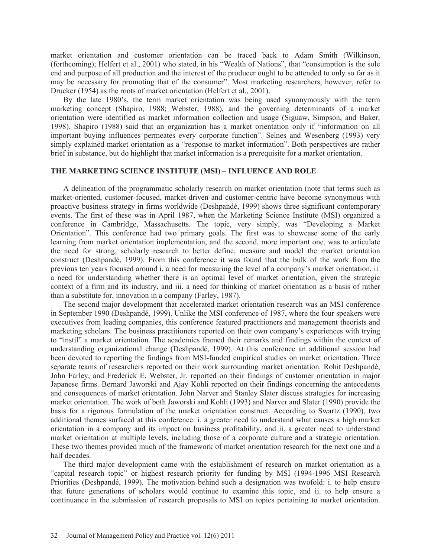market orientation and customer orientation can be traced back to Adam Smith (Wilkinson, (forthcoming); Helfert et al., 2001) who stated, in his "Wealth of Nations", that "consumption is the sole end and purpose of all production and the interest of the producer ought to be attended to only so far as it may be necessary for promoting that of the consumer". Most marketing researchers, however, refer to Drucker (1954) as the roots of market orientation (Helfert et al., 2001).

By the late 1980's, the term market orientation was being used synonymously with the term marketing concept (Shapiro, 1988; Webster, 1988), and the governing determinants of a market orientation were identified as market information collection and usage (Siguaw, Simpson, and Baker, 1998). Shapiro (1988) said that an organization has a market orientation only if "information on all important buying influences permeates every corporate function". Selnes and Wesenberg (1993) very simply explained market orientation as a "response to market information". Both perspectives are rather brief in substance, but do highlight that market information is a prerequisite for a market orientation.

#### **THE MARKETING SCIENCE INSTITUTE (MSI) – INFLUENCE AND ROLE**

A delineation of the programmatic scholarly research on market orientation (note that terms such as market-oriented, customer-focused, market-driven and customer-centric have become synonymous with proactive business strategy in firms worldwide (Deshpandé, 1999) shows three significant contemporary events. The first of these was in April 1987, when the Marketing Science Institute (MSI) organized a conference in Cambridge, Massachusetts. The topic, very simply, was "Developing a Market Orientation". This conference had two primary goals. The first was to showcase some of the early learning from market orientation implementation, and the second, more important one, was to articulate the need for strong, scholarly research to better define, measure and model the market orientation construct (Deshpandé, 1999). From this conference it was found that the bulk of the work from the previous ten years focused around i. a need for measuring the level of a company's market orientation, ii. a need for understanding whether there is an optimal level of market orientation, given the strategic context of a firm and its industry, and iii. a need for thinking of market orientation as a basis of rather than a substitute for, innovation in a company (Farley, 1987).

The second major development that accelerated market orientation research was an MSI conference in September 1990 (Deshpandé, 1999). Unlike the MSI conference of 1987, where the four speakers were executives from leading companies, this conference featured practitioners and management theorists and marketing scholars. The business practitioners reported on their own company's experiences with trying to "instil" a market orientation. The academics framed their remarks and findings within the context of understanding organizational change (Deshpandé, 1999). At this conference an additional session had been devoted to reporting the findings from MSI-funded empirical studies on market orientation. Three separate teams of researchers reported on their work surrounding market orientation. Rohit Deshpandé, John Farley, and Frederick E. Webster, Jr. reported on their findings of customer orientation in major Japanese firms. Bernard Jaworski and Ajay Kohli reported on their findings concerning the antecedents and consequences of market orientation. John Narver and Stanley Slater discuss strategies for increasing market orientation. The work of both Jaworski and Kohli (1993) and Narver and Slater (1990) provide the basis for a rigorous formulation of the market orientation construct. According to Swartz (1990), two additional themes surfaced at this conference: i. a greater need to understand what causes a high market orientation in a company and its impact on business profitability, and ii. a greater need to understand market orientation at multiple levels, including those of a corporate culture and a strategic orientation. These two themes provided much of the framework of market orientation research for the next one and a half decades.

The third major development came with the establishment of research on market orientation as a "capital research topic" or highest research priority for funding by MSI (1994-1996 MSI Research Priorities (Deshpandé, 1999). The motivation behind such a designation was twofold: i. to help ensure that future generations of scholars would continue to examine this topic, and ii. to help ensure a continuance in the submission of research proposals to MSI on topics pertaining to market orientation.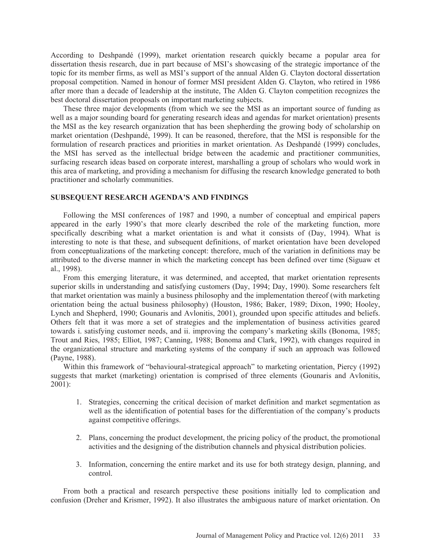According to Deshpandé (1999), market orientation research quickly became a popular area for dissertation thesis research, due in part because of MSI's showcasing of the strategic importance of the topic for its member firms, as well as MSI's support of the annual Alden G. Clayton doctoral dissertation proposal competition. Named in honour of former MSI president Alden G. Clayton, who retired in 1986 after more than a decade of leadership at the institute, The Alden G. Clayton competition recognizes the best doctoral dissertation proposals on important marketing subjects.

These three major developments (from which we see the MSI as an important source of funding as well as a major sounding board for generating research ideas and agendas for market orientation) presents the MSI as the key research organization that has been shepherding the growing body of scholarship on market orientation (Deshpandé, 1999). It can be reasoned, therefore, that the MSI is responsible for the formulation of research practices and priorities in market orientation. As Deshpandé (1999) concludes, the MSI has served as the intellectual bridge between the academic and practitioner communities, surfacing research ideas based on corporate interest, marshalling a group of scholars who would work in this area of marketing, and providing a mechanism for diffusing the research knowledge generated to both practitioner and scholarly communities.

### **SUBSEQUENT RESEARCH AGENDA'S AND FINDINGS**

Following the MSI conferences of 1987 and 1990, a number of conceptual and empirical papers appeared in the early 1990's that more clearly described the role of the marketing function, more specifically describing what a market orientation is and what it consists of (Day, 1994). What is interesting to note is that these, and subsequent definitions, of market orientation have been developed from conceptualizations of the marketing concept: therefore, much of the variation in definitions may be attributed to the diverse manner in which the marketing concept has been defined over time (Siguaw et al., 1998).

From this emerging literature, it was determined, and accepted, that market orientation represents superior skills in understanding and satisfying customers (Day, 1994; Day, 1990). Some researchers felt that market orientation was mainly a business philosophy and the implementation thereof (with marketing orientation being the actual business philosophy) (Houston, 1986; Baker, 1989; Dixon, 1990; Hooley, Lynch and Shepherd, 1990; Gounaris and Avlonitis, 2001), grounded upon specific attitudes and beliefs. Others felt that it was more a set of strategies and the implementation of business activities geared towards i. satisfying customer needs, and ii. improving the company's marketing skills (Bonoma, 1985; Trout and Ries, 1985; Elliot, 1987; Canning, 1988; Bonoma and Clark, 1992), with changes required in the organizational structure and marketing systems of the company if such an approach was followed (Payne, 1988).

Within this framework of "behavioural-strategical approach" to marketing orientation, Piercy (1992) suggests that market (marketing) orientation is comprised of three elements (Gounaris and Avlonitis, 2001):

- 1. Strategies, concerning the critical decision of market definition and market segmentation as well as the identification of potential bases for the differentiation of the company's products against competitive offerings.
- 2. Plans, concerning the product development, the pricing policy of the product, the promotional activities and the designing of the distribution channels and physical distribution policies.
- 3. Information, concerning the entire market and its use for both strategy design, planning, and control.

From both a practical and research perspective these positions initially led to complication and confusion (Dreher and Krismer, 1992). It also illustrates the ambiguous nature of market orientation. On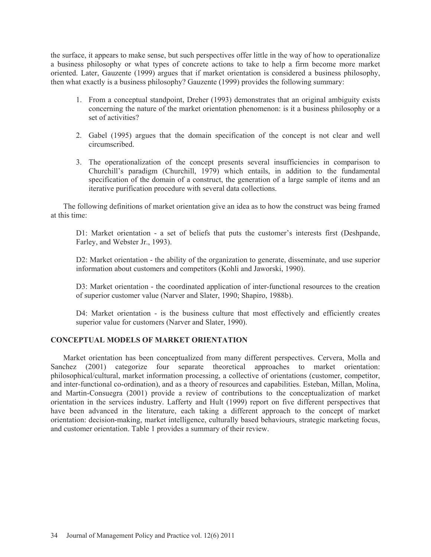the surface, it appears to make sense, but such perspectives offer little in the way of how to operationalize a business philosophy or what types of concrete actions to take to help a firm become more market oriented. Later, Gauzente (1999) argues that if market orientation is considered a business philosophy, then what exactly is a business philosophy? Gauzente (1999) provides the following summary:

- 1. From a conceptual standpoint, Dreher (1993) demonstrates that an original ambiguity exists concerning the nature of the market orientation phenomenon: is it a business philosophy or a set of activities?
- 2. Gabel (1995) argues that the domain specification of the concept is not clear and well circumscribed.
- 3. The operationalization of the concept presents several insufficiencies in comparison to Churchill's paradigm (Churchill, 1979) which entails, in addition to the fundamental specification of the domain of a construct, the generation of a large sample of items and an iterative purification procedure with several data collections.

The following definitions of market orientation give an idea as to how the construct was being framed at this time:

D1: Market orientation - a set of beliefs that puts the customer's interests first (Deshpande, Farley, and Webster Jr., 1993).

D2: Market orientation - the ability of the organization to generate, disseminate, and use superior information about customers and competitors (Kohli and Jaworski, 1990).

D3: Market orientation - the coordinated application of inter-functional resources to the creation of superior customer value (Narver and Slater, 1990; Shapiro, 1988b).

D4: Market orientation - is the business culture that most effectively and efficiently creates superior value for customers (Narver and Slater, 1990).

### **CONCEPTUAL MODELS OF MARKET ORIENTATION**

Market orientation has been conceptualized from many different perspectives. Cervera, Molla and Sanchez (2001) categorize four separate theoretical approaches to market orientation: philosophical/cultural, market information processing, a collective of orientations (customer, competitor, and inter-functional co-ordination), and as a theory of resources and capabilities. Esteban, Millan, Molina, and Martin-Consuegra (2001) provide a review of contributions to the conceptualization of market orientation in the services industry. Lafferty and Hult (1999) report on five different perspectives that have been advanced in the literature, each taking a different approach to the concept of market orientation: decision-making, market intelligence, culturally based behaviours, strategic marketing focus, and customer orientation. Table 1 provides a summary of their review.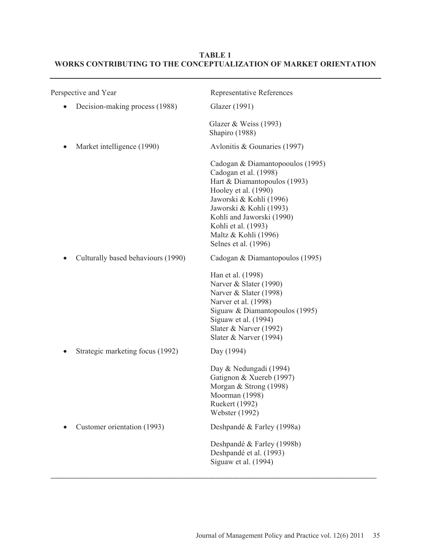# Perspective and Year Representative References • Decision-making process (1988) Glazer (1991) Glazer & Weiss (1993) Shapiro (1988) • Market intelligence (1990) Avlonitis & Gounaries (1997) Cadogan & Diamantopooulos (1995) Cadogan et al. (1998) Hart & Diamantopoulos (1993) Hooley et al. (1990) Jaworski & Kohli (1996) Jaworski & Kohli (1993) Kohli and Jaworski (1990) Kohli et al. (1993) Maltz & Kohli (1996) Selnes et al. (1996) • Culturally based behaviours (1990) Cadogan & Diamantopoulos (1995) Han et al. (1998) Narver & Slater (1990) Narver & Slater (1998) Narver et al. (1998) Siguaw & Diamantopoulos (1995) Siguaw et al. (1994) Slater & Narver (1992) Slater & Narver (1994) Strategic marketing focus (1992) Day (1994) Day & Nedungadi (1994) Gatignon & Xuereb (1997) Morgan & Strong (1998) Moorman (1998) Ruekert (1992) Webster (1992) • Customer orientation (1993) Deshpandé & Farley (1998a) Deshpandé & Farley (1998b) Deshpandé et al. (1993) Siguaw et al. (1994)

 $\overline{a}$  , and the state of the state of the state of the state of the state of the state of the state of the state of the state of the state of the state of the state of the state of the state of the state of the state o

## **TABLE 1 WORKS CONTRIBUTING TO THE CONCEPTUALIZATION OF MARKET ORIENTATION**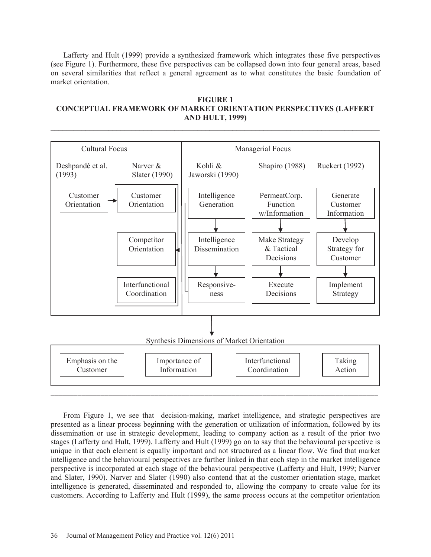Lafferty and Hult (1999) provide a synthesized framework which integrates these five perspectives (see Figure 1). Furthermore, these five perspectives can be collapsed down into four general areas, based on several similarities that reflect a general agreement as to what constitutes the basic foundation of market orientation.

#### **FIGURE 1 CONCEPTUAL FRAMEWORK OF MARKET ORIENTATION PERSPECTIVES (LAFFERT AND HULT, 1999)**



From Figure 1, we see that decision-making, market intelligence, and strategic perspectives are presented as a linear process beginning with the generation or utilization of information, followed by its dissemination or use in strategic development, leading to company action as a result of the prior two stages (Lafferty and Hult, 1999). Lafferty and Hult (1999) go on to say that the behavioural perspective is unique in that each element is equally important and not structured as a linear flow. We find that market intelligence and the behavioural perspectives are further linked in that each step in the market intelligence perspective is incorporated at each stage of the behavioural perspective (Lafferty and Hult, 1999; Narver and Slater, 1990). Narver and Slater (1990) also contend that at the customer orientation stage, market intelligence is generated, disseminated and responded to, allowing the company to create value for its customers. According to Lafferty and Hult (1999), the same process occurs at the competitor orientation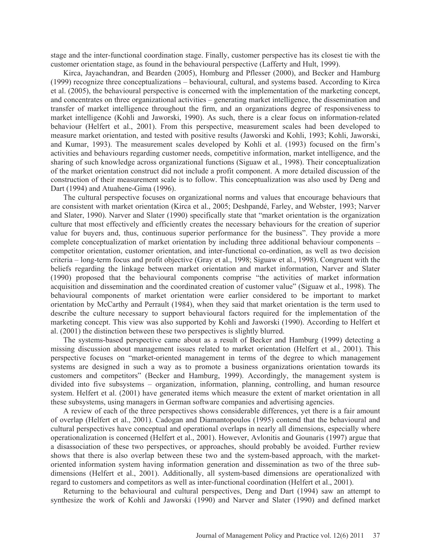stage and the inter-functional coordination stage. Finally, customer perspective has its closest tie with the customer orientation stage, as found in the behavioural perspective (Lafferty and Hult, 1999).

Kirca, Jayachandran, and Bearden (2005), Homburg and Pflesser (2000), and Becker and Hamburg (1999) recognize three conceptualizations – behavioural, cultural, and systems based. According to Kirca et al. (2005), the behavioural perspective is concerned with the implementation of the marketing concept, and concentrates on three organizational activities – generating market intelligence, the dissemination and transfer of market intelligence throughout the firm, and an organizations degree of responsiveness to market intelligence (Kohli and Jaworski, 1990). As such, there is a clear focus on information-related behaviour (Helfert et al., 2001). From this perspective, measurement scales had been developed to measure market orientation, and tested with positive results (Jaworski and Kohli, 1993; Kohli, Jaworski, and Kumar, 1993). The measurement scales developed by Kohli et al. (1993) focused on the firm's activities and behaviours regarding customer needs, competitive information, market intelligence, and the sharing of such knowledge across organizational functions (Siguaw et al., 1998). Their conceptualization of the market orientation construct did not include a profit component. A more detailed discussion of the construction of their measurement scale is to follow. This conceptualization was also used by Deng and Dart (1994) and Atuahene-Gima (1996).

The cultural perspective focuses on organizational norms and values that encourage behaviours that are consistent with market orientation (Kirca et al., 2005; Deshpandé, Farley, and Webster, 1993; Narver and Slater, 1990). Narver and Slater (1990) specifically state that "market orientation is the organization culture that most effectively and efficiently creates the necessary behaviours for the creation of superior value for buyers and, thus, continuous superior performance for the business". They provide a more complete conceptualization of market orientation by including three additional behaviour components – competitor orientation, customer orientation, and inter-functional co-ordination, as well as two decision criteria – long-term focus and profit objective (Gray et al., 1998; Siguaw et al., 1998). Congruent with the beliefs regarding the linkage between market orientation and market information, Narver and Slater (1990) proposed that the behavioural components comprise "the activities of market information acquisition and dissemination and the coordinated creation of customer value" (Siguaw et al., 1998). The behavioural components of market orientation were earlier considered to be important to market orientation by McCarthy and Perrault (1984), when they said that market orientation is the term used to describe the culture necessary to support behavioural factors required for the implementation of the marketing concept. This view was also supported by Kohli and Jaworski (1990). According to Helfert et al. (2001) the distinction between these two perspectives is slightly blurred.

The systems-based perspective came about as a result of Becker and Hamburg (1999) detecting a missing discussion about management issues related to market orientation (Helfert et al., 2001). This perspective focuses on "market-oriented management in terms of the degree to which management systems are designed in such a way as to promote a business organizations orientation towards its customers and competitors" (Becker and Hamburg, 1999). Accordingly, the management system is divided into five subsystems – organization, information, planning, controlling, and human resource system. Helfert et al. (2001) have generated items which measure the extent of market orientation in all these subsystems, using managers in German software companies and advertising agencies.

A review of each of the three perspectives shows considerable differences, yet there is a fair amount of overlap (Helfert et al., 2001). Cadogan and Diamantopoulos (1995) contend that the behavioural and cultural perspectives have conceptual and operational overlaps in nearly all dimensions, especially where operationalization is concerned (Helfert et al., 2001). However, Avlonitis and Gounaris (1997) argue that a disassociation of these two perspectives, or approaches, should probably be avoided. Further review shows that there is also overlap between these two and the system-based approach, with the marketoriented information system having information generation and dissemination as two of the three subdimensions (Helfert et al., 2001). Additionally, all system-based dimensions are operationalized with regard to customers and competitors as well as inter-functional coordination (Helfert et al., 2001).

Returning to the behavioural and cultural perspectives, Deng and Dart (1994) saw an attempt to synthesize the work of Kohli and Jaworski (1990) and Narver and Slater (1990) and defined market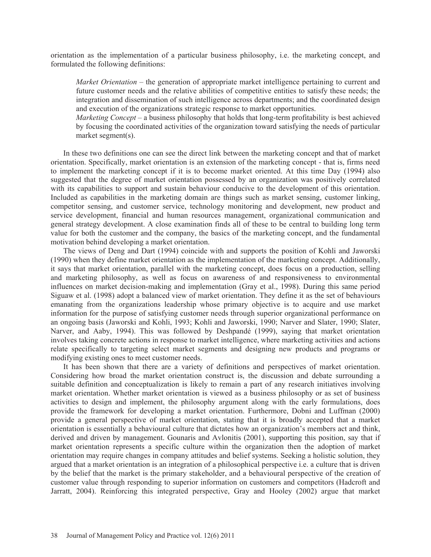orientation as the implementation of a particular business philosophy, i.e. the marketing concept, and formulated the following definitions:

*Market Orientation* – the generation of appropriate market intelligence pertaining to current and future customer needs and the relative abilities of competitive entities to satisfy these needs; the integration and dissemination of such intelligence across departments; and the coordinated design and execution of the organizations strategic response to market opportunities.

*Marketing Concept* – a business philosophy that holds that long-term profitability is best achieved by focusing the coordinated activities of the organization toward satisfying the needs of particular market segment(s).

In these two definitions one can see the direct link between the marketing concept and that of market orientation. Specifically, market orientation is an extension of the marketing concept - that is, firms need to implement the marketing concept if it is to become market oriented. At this time Day (1994) also suggested that the degree of market orientation possessed by an organization was positively correlated with its capabilities to support and sustain behaviour conducive to the development of this orientation. Included as capabilities in the marketing domain are things such as market sensing, customer linking, competitor sensing, and customer service, technology monitoring and development, new product and service development, financial and human resources management, organizational communication and general strategy development. A close examination finds all of these to be central to building long term value for both the customer and the company, the basics of the marketing concept, and the fundamental motivation behind developing a market orientation.

The views of Deng and Dart (1994) coincide with and supports the position of Kohli and Jaworski (1990) when they define market orientation as the implementation of the marketing concept. Additionally, it says that market orientation, parallel with the marketing concept, does focus on a production, selling and marketing philosophy, as well as focus on awareness of and responsiveness to environmental influences on market decision-making and implementation (Gray et al., 1998). During this same period Siguaw et al. (1998) adopt a balanced view of market orientation. They define it as the set of behaviours emanating from the organizations leadership whose primary objective is to acquire and use market information for the purpose of satisfying customer needs through superior organizational performance on an ongoing basis (Jaworski and Kohli, 1993; Kohli and Jaworski, 1990; Narver and Slater, 1990; Slater, Narver, and Aaby, 1994). This was followed by Deshpandé (1999), saying that market orientation involves taking concrete actions in response to market intelligence, where marketing activities and actions relate specifically to targeting select market segments and designing new products and programs or modifying existing ones to meet customer needs.

It has been shown that there are a variety of definitions and perspectives of market orientation. Considering how broad the market orientation construct is, the discussion and debate surrounding a suitable definition and conceptualization is likely to remain a part of any research initiatives involving market orientation. Whether market orientation is viewed as a business philosophy or as set of business activities to design and implement, the philosophy argument along with the early formulations, does provide the framework for developing a market orientation. Furthermore, Dobni and Luffman (2000) provide a general perspective of market orientation, stating that it is broadly accepted that a market orientation is essentially a behavioural culture that dictates how an organization's members act and think, derived and driven by management. Gounaris and Avlonitis (2001), supporting this position, say that if market orientation represents a specific culture within the organization then the adoption of market orientation may require changes in company attitudes and belief systems. Seeking a holistic solution, they argued that a market orientation is an integration of a philosophical perspective i.e. a culture that is driven by the belief that the market is the primary stakeholder, and a behavioural perspective of the creation of customer value through responding to superior information on customers and competitors (Hadcroft and Jarratt, 2004). Reinforcing this integrated perspective, Gray and Hooley (2002) argue that market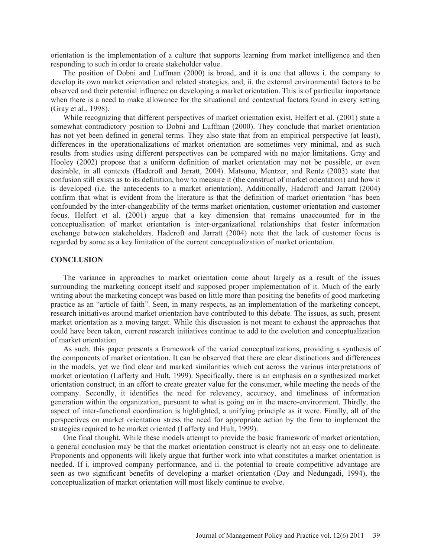orientation is the implementation of a culture that supports learning from market intelligence and then responding to such in order to create stakeholder value.

The position of Dobni and Luffman (2000) is broad, and it is one that allows i. the company to develop its own market orientation and related strategies, and, ii. the external environmental factors to be observed and their potential influence on developing a market orientation. This is of particular importance when there is a need to make allowance for the situational and contextual factors found in every setting (Gray et al., 1998).

While recognizing that different perspectives of market orientation exist, Helfert et al. (2001) state a somewhat contradictory position to Dobni and Luffman (2000). They conclude that market orientation has not yet been defined in general terms. They also state that from an empirical perspective (at least), differences in the operationalizations of market orientation are sometimes very minimal, and as such results from studies using different perspectives can be compared with no major limitations. Gray and Hooley (2002) propose that a uniform definition of market orientation may not be possible, or even desirable, in all contexts (Hadcroft and Jarratt, 2004). Matsuno, Mentzer, and Rentz (2003) state that confusion still exists as to its definition, how to measure it (the construct of market orientation) and how it is developed (i.e. the antecedents to a market orientation). Additionally, Hadcroft and Jarratt (2004) confirm that what is evident from the literature is that the definition of market orientation "has been confounded by the inter-changeability of the terms market orientation, customer orientation and customer focus. Helfert et al. (2001) argue that a key dimension that remains unaccounted for in the conceptualisation of market orientation is inter-organizational relationships that foster information exchange between stakeholders. Hadcroft and Jarratt (2004) note that the lack of customer focus is regarded by some as a key limitation of the current conceptualization of market orientation.

#### **CONCLUSION**

The variance in approaches to market orientation come about largely as a result of the issues surrounding the marketing concept itself and supposed proper implementation of it. Much of the early writing about the marketing concept was based on little more than positing the benefits of good marketing practice as an "article of faith". Seen, in many respects, as an implementation of the marketing concept, research initiatives around market orientation have contributed to this debate. The issues, as such, present market orientation as a moving target. While this discussion is not meant to exhaust the approaches that could have been taken, current research initiatives continue to add to the evolution and conceptualization of market orientation.

As such, this paper presents a framework of the varied conceptualizations, providing a synthesis of the components of market orientation. It can be observed that there are clear distinctions and differences in the models, yet we find clear and marked similarities which cut across the various interpretations of market orientation (Lafferty and Hult, 1999). Specifically, there is an emphasis on a synthesized market orientation construct, in an effort to create greater value for the consumer, while meeting the needs of the company. Secondly, it identifies the need for relevancy, accuracy, and timeliness of information generation within the organization, pursuant to what is going on in the macro-environment. Thirdly, the aspect of inter-functional coordination is highlighted, a unifying principle as it were. Finally, all of the perspectives on market orientation stress the need for appropriate action by the firm to implement the strategies required to be market oriented (Lafferty and Hult, 1999).

One final thought. While these models attempt to provide the basic framework of market orientation, a general conclusion may be that the market orientation construct is clearly not an easy one to delineate. Proponents and opponents will likely argue that further work into what constitutes a market orientation is needed. If i. improved company performance, and ii. the potential to create competitive advantage are seen as two significant benefits of developing a market orientation (Day and Nedungadi, 1994), the conceptualization of market orientation will most likely continue to evolve.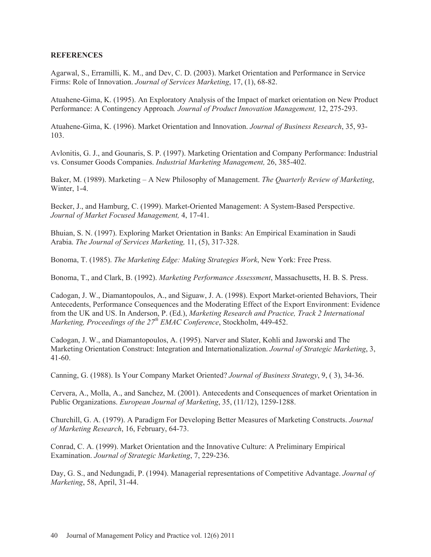### **REFERENCES**

Agarwal, S., Erramilli, K. M., and Dev, C. D. (2003). Market Orientation and Performance in Service Firms: Role of Innovation. *Journal of Services Marketing*, 17, (1), 68-82.

Atuahene-Gima, K. (1995). An Exploratory Analysis of the Impact of market orientation on New Product Performance: A Contingency Approach*. Journal of Product Innovation Management,* 12, 275-293.

Atuahene-Gima, K. (1996). Market Orientation and Innovation. *Journal of Business Research*, 35, 93- 103.

Avlonitis, G. J., and Gounaris, S. P. (1997). Marketing Orientation and Company Performance: Industrial vs. Consumer Goods Companies. *Industrial Marketing Management,* 26, 385-402.

Baker, M. (1989). Marketing – A New Philosophy of Management. *The Quarterly Review of Marketing*, Winter, 1-4.

Becker, J., and Hamburg, C. (1999). Market-Oriented Management: A System-Based Perspective. *Journal of Market Focused Management,* 4, 17-41.

Bhuian, S. N. (1997). Exploring Market Orientation in Banks: An Empirical Examination in Saudi Arabia. *The Journal of Services Marketing,* 11, (5), 317-328.

Bonoma, T. (1985). *The Marketing Edge: Making Strategies Work*, New York: Free Press.

Bonoma, T., and Clark, B. (1992). *Marketing Performance Assessment*, Massachusetts, H. B. S. Press.

Cadogan, J. W., Diamantopoulos, A., and Siguaw, J. A. (1998). Export Market-oriented Behaviors, Their Antecedents, Performance Consequences and the Moderating Effect of the Export Environment: Evidence from the UK and US. In Anderson, P. (Ed.), *Marketing Research and Practice, Track 2 International Marketing, Proceedings of the 27<sup>th</sup> EMAC Conference, Stockholm, 449-452.* 

Cadogan, J. W., and Diamantopoulos, A. (1995). Narver and Slater, Kohli and Jaworski and The Marketing Orientation Construct: Integration and Internationalization. *Journal of Strategic Marketing*, 3, 41-60.

Canning, G. (1988). Is Your Company Market Oriented? *Journal of Business Strategy*, 9, ( 3), 34-36.

Cervera, A., Molla, A., and Sanchez, M. (2001). Antecedents and Consequences of market Orientation in Public Organizations. *European Journal of Marketing*, 35, (11/12), 1259-1288.

Churchill, G. A. (1979). A Paradigm For Developing Better Measures of Marketing Constructs. *Journal of Marketing Research*, 16, February, 64-73.

Conrad, C. A. (1999). Market Orientation and the Innovative Culture: A Preliminary Empirical Examination. *Journal of Strategic Marketing*, 7, 229-236.

Day, G. S., and Nedungadi, P. (1994). Managerial representations of Competitive Advantage. *Journal of Marketing*, 58, April, 31-44.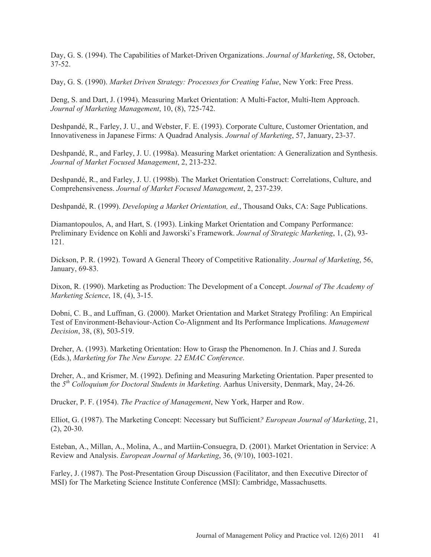Day, G. S. (1994). The Capabilities of Market-Driven Organizations. *Journal of Marketing*, 58, October, 37-52.

Day, G. S. (1990). *Market Driven Strategy: Processes for Creating Value*, New York: Free Press.

Deng, S. and Dart, J. (1994). Measuring Market Orientation: A Multi-Factor, Multi-Item Approach. *Journal of Marketing Management*, 10, (8), 725-742.

Deshpandé, R., Farley, J. U., and Webster, F. E. (1993). Corporate Culture, Customer Orientation, and Innovativeness in Japanese Firms: A Quadrad Analysis. *Journal of Marketing*, 57, January, 23-37.

Deshpandé, R., and Farley, J. U. (1998a). Measuring Market orientation: A Generalization and Synthesis. *Journal of Market Focused Management*, 2, 213-232.

Deshpandé, R., and Farley, J. U. (1998b). The Market Orientation Construct: Correlations, Culture, and Comprehensiveness. *Journal of Market Focused Management*, 2, 237-239.

Deshpandé, R. (1999). *Developing a Market Orientation, ed*., Thousand Oaks, CA: Sage Publications.

Diamantopoulos, A, and Hart, S. (1993). Linking Market Orientation and Company Performance: Preliminary Evidence on Kohli and Jaworski's Framework. *Journal of Strategic Marketing*, 1, (2), 93- 121.

Dickson, P. R. (1992). Toward A General Theory of Competitive Rationality. *Journal of Marketing*, 56, January, 69-83.

Dixon, R. (1990). Marketing as Production: The Development of a Concept. *Journal of The Academy of Marketing Science*, 18, (4), 3-15.

Dobni, C. B., and Luffman, G. (2000). Market Orientation and Market Strategy Profiling: An Empirical Test of Environment-Behaviour-Action Co-Alignment and Its Performance Implications. *Management Decision*, 38, (8), 503-519.

Dreher, A. (1993). Marketing Orientation: How to Grasp the Phenomenon. In J. Chias and J. Sureda (Eds.), *Marketing for The New Europe. 22 EMAC Conference*.

Dreher, A., and Krismer, M. (1992). Defining and Measuring Marketing Orientation. Paper presented to the *5th Colloquium for Doctoral Students in Marketing*. Aarhus University, Denmark, May, 24-26.

Drucker, P. F. (1954). *The Practice of Management*, New York, Harper and Row.

Elliot, G. (1987). The Marketing Concept: Necessary but Sufficient*? European Journal of Marketing*, 21, (2), 20-30.

Esteban, A., Millan, A., Molina, A., and Martiin-Consuegra, D. (2001). Market Orientation in Service: A Review and Analysis. *European Journal of Marketing*, 36, (9/10), 1003-1021.

Farley, J. (1987). The Post-Presentation Group Discussion (Facilitator, and then Executive Director of MSI) for The Marketing Science Institute Conference (MSI): Cambridge, Massachusetts.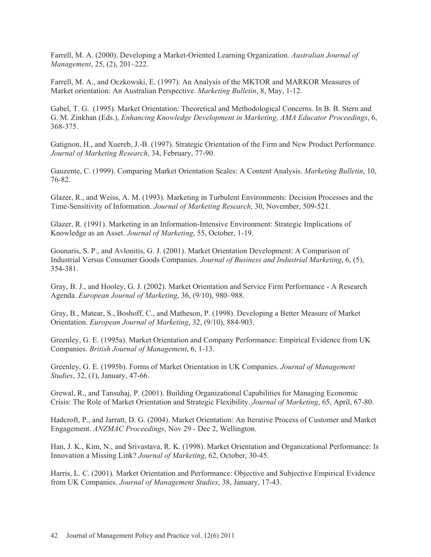Farrell, M. A. (2000). Developing a Market-Oriented Learning Organization. *Australian Journal of Management*, 25, (2), 201–222.

Farrell, M. A., and Oczkowski, E. (1997). An Analysis of the MKTOR and MARKOR Measures of Market orientation: An Australian Perspective. *Marketing Bulletin*, 8, May, 1-12.

Gabel, T. G. (1995). Market Orientation: Theoretical and Methodological Concerns. In B. B. Stern and G. M. Zinkhan (Eds.), *Enhancing Knowledge Development in Marketing, AMA Educator Proceedings*, 6, 368-375.

Gatignon, H., and Xuereb, J.-B. (1997). Strategic Orientation of the Firm and New Product Performance. *Journal of Marketing Research*, 34, February, 77-90.

Gauzente, C. (1999). Comparing Market Orientation Scales: A Content Analysis. *Marketing Bulletin*, 10, 76-82.

Glazer, R., and Weiss, A. M. (1993). Marketing in Turbulent Environments: Decision Processes and the Time-Sensitivity of Information. *Journal of Marketing Research*, 30, November, 509-521.

Glazer, R. (1991). Marketing in an Information-Intensive Environment: Strategic Implications of Knowledge as an Asset. *Journal of Marketing*, 55, October, 1-19.

Gounaris, S. P., and Avlonitis, G. J. (2001). Market Orientation Development: A Comparison of Industrial Versus Consumer Goods Companies. *Journal of Business and Industrial Marketing*, 6, (5), 354-381.

Gray, B. J., and Hooley, G. J. (2002). Market Orientation and Service Firm Performance - A Research Agenda. *European Journal of Marketing*, 36, (9/10), 980–988.

Gray, B., Matear, S., Boshoff, C., and Matheson, P. (1998). Developing a Better Measure of Market Orientation. *European Journal of Marketing*, 32, (9/10), 884-903.

Greenley, G. E. (1995a). Market Orientation and Company Performance: Empirical Evidence from UK Companies. *British Journal of Management*, 6, 1-13.

Greenley, G. E. (1995b). Forms of Market Orientation in UK Companies. *Journal of Management Studies*, 32, (1), January, 47-66.

Grewal, R., and Tansuhaj, P. (2001). Building Organizational Capabilities for Managing Economic Crisis: The Role of Market Orientation and Strategic Flexibility. *Journal of Marketing*, 65, April, 67-80.

Hadcroft, P., and Jarratt, D. G. (2004). Market Orientation: An Iterative Process of Customer and Market Engagement. *ANZMAC Proceedings*, Nov 29 - Dec 2, Wellington.

Han, J. K., Kim, N., and Srivastava, R. K. (1998). Market Orientation and Organizational Performance: Is Innovation a Missing Link? *Journal of Marketing*, 62, October, 30-45.

Harris, L. C. (2001). Market Orientation and Performance: Objective and Subjective Empirical Evidence from UK Companies. *Journal of Management Studies*, 38, January, 17-43.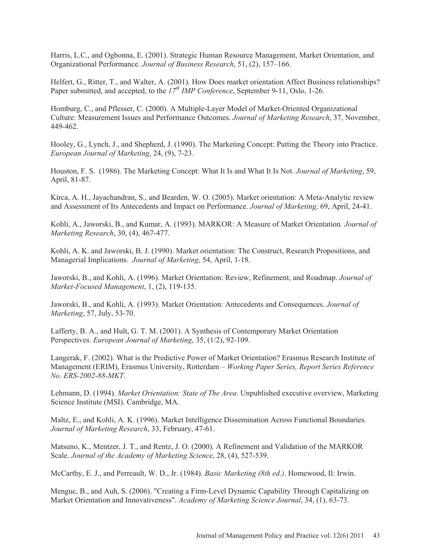Harris, L.C., and Ogbonna, E. (2001). Strategic Human Resource Management, Market Orientation, and Organizational Performance. *Journal of Business Research*, 51, (2), 157–166.

Helfert, G., Ritter, T., and Walter, A. (2001). How Does market orientation Affect Business relationships? Paper submitted, and accepted, to the  $17^{th}$  *IMP Conference*, September 9-11, Oslo, 1-26.

Homburg, C., and Pflesser, C. (2000). A Multiple-Layer Model of Market-Oriented Organizational Culture: Measurement Issues and Performance Outcomes. *Journal of Marketing Research*, 37, November, 449-462.

Hooley, G., Lynch, J., and Shepherd, J. (1990). The Marketing Concept: Putting the Theory into Practice. *European Journal of Marketing*, 24, (9), 7-23.

Houston, F. S. (1986). The Marketing Concept: What It Is and What It Is Not. *Journal of Marketing*, 59, April, 81-87.

Kirca, A. H., Jayachandran, S., and Bearden, W. O. (2005). Market orientation: A Meta-Analytic review and Assessment of Its Antecedents and Impact on Performance. *Journal of Marketing,* 69, April, 24-41.

Kohli, A., Jaworski, B., and Kumar, A. (1993). MARKOR: A Measure of Market Orientation*. Journal of Marketing Research*, 30, (4), 467-477.

Kohli, A. K. and Jaworski, B. J. (1990). Market orientation: The Construct, Research Propositions, and Managerial Implications*. Journal of Marketing*, 54, April, 1-18.

Jaworski, B., and Kohli, A. (1996). Market Orientation: Review, Refinement, and Roadmap. *Journal of Market-Focused Management*, 1, (2), 119-135.

Jaworski, B., and Kohli, A. (1993). Market Orientation: Antecedents and Consequences. *Journal of Marketing*, 57, July, 53-70.

Lafferty, B. A., and Hult, G. T. M. (2001). A Synthesis of Contemporary Market Orientation Perspectives. *European Journal of Marketing*, 35, (1/2), 92-109.

Langerak, F. (2002). What is the Predictive Power of Market Orientation? Erasmus Research Institute of Management (ERIM), Erasmus University, Rotterdam – *Working Paper Series, Report Series Reference No. ERS-2002-88-MKT*.

Lehmann, D. (1994). *Market Orientation: State of The Area*. Unpublished executive overview, Marketing Science Institute (MSI). Cambridge, MA.

Maltz, E., and Kohli, A. K. (1996). Market Intelligence Dissemination Across Functional Boundaries. *Journal of Marketing Research*, 33, February, 47-61.

Matsuno, K., Mentzer, J. T., and Rentz, J. O. (2000). A Refinement and Validation of the MARKOR Scale. *Journal of the Academy of Marketing Science*, 28, (4), 527-539.

McCarthy, E. J., and Perreault, W. D., Jr. (1984). *Basic Marketing (8th ed.)*. Homewood, Il: Irwin.

Menguc, B., and Auh, S. (2006). "Creating a Firm-Level Dynamic Capability Through Capitalizing on Market Orientation and Innovativeness". *Academy of Marketing Science Journal*, 34, (1), 63-73.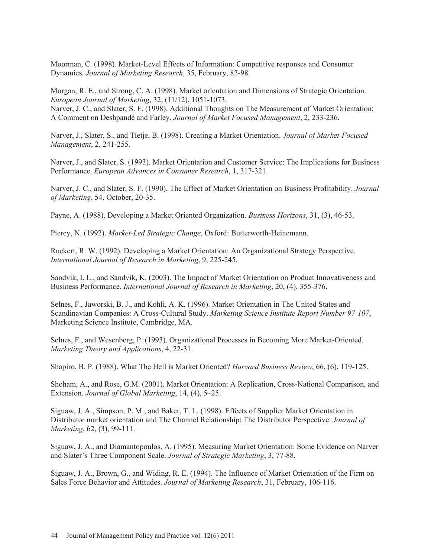Moorman, C. (1998). Market-Level Effects of Information: Competitive responses and Consumer Dynamics. *Journal of Marketing Research*, 35, February, 82-98.

Morgan, R. E., and Strong, C. A. (1998). Market orientation and Dimensions of Strategic Orientation. *European Journal of Marketing*, 32, (11/12), 1051-1073. Narver, J. C., and Slater, S. F. (1998). Additional Thoughts on The Measurement of Market Orientation: A Comment on Deshpandé and Farley. *Journal of Market Focused Management*, 2, 233-236.

Narver, J., Slater, S., and Tietje, B. (1998). Creating a Market Orientation. *Journal of Market-Focused Management*, 2, 241-255.

Narver, J., and Slater, S. (1993). Market Orientation and Customer Service: The Implications for Business Performance. *European Advances in Consumer Research*, 1, 317-321.

Narver, J. C., and Slater, S. F. (1990). The Effect of Market Orientation on Business Profitability. *Journal of Marketing*, 54, October, 20-35.

Payne, A. (1988). Developing a Market Oriented Organization. *Business Horizons*, 31, (3), 46-53.

Piercy, N. (1992). *Market-Led Strategic Change*, Oxford: Butterworth-Heinemann.

Ruekert, R. W. (1992). Developing a Market Orientation: An Organizational Strategy Perspective. *International Journal of Research in Marketing*, 9, 225-245.

Sandvik, I. L., and Sandvik, K. (2003). The Impact of Market Orientation on Product Innovativeness and Business Performance. *International Journal of Research in Marketing*, 20, (4), 355-376.

Selnes, F., Jaworski, B. J., and Kohli, A. K. (1996). Market Orientation in The United States and Scandinavian Companies: A Cross-Cultural Study. *Marketing Science Institute Report Number 97-107*, Marketing Science Institute, Cambridge, MA.

Selnes, F., and Wesenberg, P. (1993). Organizational Processes in Becoming More Market-Oriented. *Marketing Theory and Applications*, 4, 22-31.

Shapiro, B. P. (1988). What The Hell is Market Oriented? *Harvard Business Review*, 66, (6), 119-125.

Shoham, A., and Rose, G.M. (2001). Market Orientation: A Replication, Cross-National Comparison, and Extension. *Journal of Global Marketing*, 14, (4), 5–25.

Siguaw, J. A., Simpson, P. M., and Baker, T. L. (1998). Effects of Supplier Market Orientation in Distributor market orientation and The Channel Relationship: The Distributor Perspective. *Journal of Marketing*, 62, (3), 99-111.

Siguaw, J. A., and Diamantopoulos, A. (1995). Measuring Market Orientation: Some Evidence on Narver and Slater's Three Component Scale. *Journal of Strategic Marketing*, 3, 77-88.

Siguaw, J. A., Brown, G., and Widing, R. E. (1994). The Influence of Market Orientation of the Firm on Sales Force Behavior and Attitudes. *Journal of Marketing Research*, 31, February, 106-116.